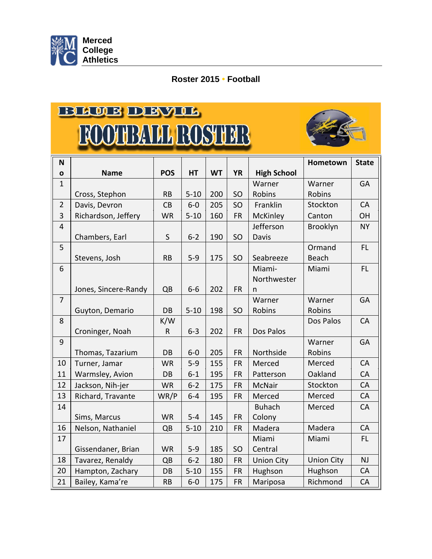

## **Roster 2015 • Football**

## BLUE DEVIL **FOOTBALL ROSTER**



| N              |                      |                 |                  |           |                        |                     | Hometown          | <b>State</b> |
|----------------|----------------------|-----------------|------------------|-----------|------------------------|---------------------|-------------------|--------------|
| $\mathbf{o}$   | <b>Name</b>          | <b>POS</b>      | HT               | <b>WT</b> | <b>YR</b>              | <b>High School</b>  |                   |              |
| $\mathbf{1}$   |                      |                 |                  |           |                        | Warner              | Warner            | <b>GA</b>    |
|                | Cross, Stephon       | <b>RB</b>       | $5 - 10$         | 200       | SO                     | Robins              | Robins            |              |
| $\overline{2}$ | Davis, Devron        | CB              | $6-0$            | 205       | SO                     | Franklin            | Stockton          | CA           |
| 3              | Richardson, Jeffery  | <b>WR</b>       | $5 - 10$         | 160       | <b>FR</b>              | McKinley            | Canton            | OH           |
| $\overline{4}$ |                      |                 |                  |           |                        | Jefferson           | Brooklyn          | <b>NY</b>    |
|                | Chambers, Earl       | $\sf S$         | $6 - 2$          | 190       | SO                     | Davis               |                   |              |
| 5              |                      |                 |                  |           |                        |                     | Ormand            | FL.          |
|                | Stevens, Josh        | <b>RB</b>       | $5 - 9$          | 175       | SO                     | Seabreeze           | <b>Beach</b>      |              |
| 6              |                      |                 |                  |           |                        | Miami-              | Miami             | FL.          |
|                |                      |                 |                  |           |                        | Northwester         |                   |              |
|                | Jones, Sincere-Randy | QB              | $6-6$            | 202       | <b>FR</b>              | n                   |                   |              |
| $\overline{7}$ |                      |                 |                  |           |                        | Warner              | Warner            | GA           |
|                | Guyton, Demario      | DB              | $5 - 10$         | 198       | SO                     | Robins              | <b>Robins</b>     |              |
| 8              |                      | K/W             |                  |           |                        |                     | Dos Palos         | CA           |
| 9              | Croninger, Noah      | $\mathsf R$     | $6 - 3$          | 202       | <b>FR</b>              | Dos Palos           |                   |              |
|                |                      |                 |                  | 205       |                        |                     | Warner            | GA           |
| 10             | Thomas, Tazarium     | DB<br><b>WR</b> | $6-0$<br>$5 - 9$ | 155       | <b>FR</b><br><b>FR</b> | Northside<br>Merced | Robins<br>Merced  | CA           |
| 11             | Turner, Jamar        |                 |                  |           |                        |                     | Oakland           | CA           |
| 12             | Warmsley, Avion      | DB              | $6-1$            | 195       | <b>FR</b>              | Patterson           | Stockton          | CA           |
|                | Jackson, Nih-jer     | <b>WR</b>       | $6 - 2$          | 175       | <b>FR</b>              | <b>McNair</b>       |                   |              |
| 13             | Richard, Travante    | WR/P            | $6-4$            | 195       | <b>FR</b>              | Merced              | Merced            | CA           |
| 14             |                      |                 |                  | 145       |                        | <b>Buhach</b>       | Merced            | CA           |
| 16             | Sims, Marcus         | <b>WR</b>       | $5 - 4$          |           | <b>FR</b>              | Colony              | Madera            |              |
|                | Nelson, Nathaniel    | QB              | $5 - 10$         | 210       | <b>FR</b>              | Madera              |                   | CA           |
| 17             |                      |                 |                  |           |                        | Miami               | Miami             | FL           |
|                | Gissendaner, Brian   | <b>WR</b>       | $5 - 9$          | 185       | SO                     | Central             |                   |              |
| 18             | Tavarez, Renaldy     | QB              | $6 - 2$          | 180       | <b>FR</b>              | <b>Union City</b>   | <b>Union City</b> | <b>NJ</b>    |
| 20             | Hampton, Zachary     | DB              | $5 - 10$         | 155       | <b>FR</b>              | Hughson             | Hughson           | CA           |
| 21             | Bailey, Kama're      | <b>RB</b>       | $6-0$            | 175       | <b>FR</b>              | Mariposa            | Richmond          | CA           |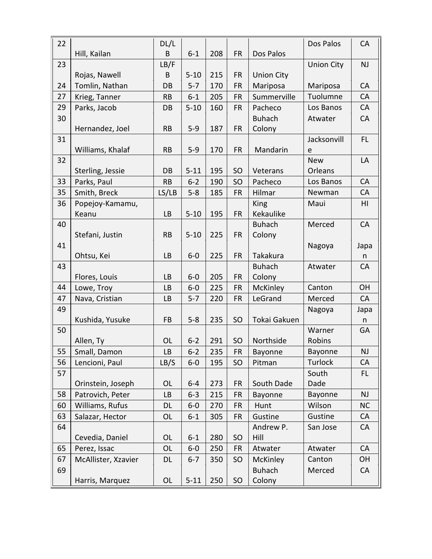| 22 |                     | DL/L      |          |     |           |                   | Dos Palos         | CA        |
|----|---------------------|-----------|----------|-----|-----------|-------------------|-------------------|-----------|
|    | Hill, Kailan        | B         | $6 - 1$  | 208 | <b>FR</b> | Dos Palos         |                   |           |
| 23 |                     | LB/F      |          |     |           |                   | <b>Union City</b> | NJ        |
|    | Rojas, Nawell       | B         | $5 - 10$ | 215 | <b>FR</b> | <b>Union City</b> |                   |           |
| 24 | Tomlin, Nathan      | DB        | $5 - 7$  | 170 | <b>FR</b> | Mariposa          | Mariposa          | CA        |
| 27 | Krieg, Tanner       | <b>RB</b> | $6 - 1$  | 205 | FR        | Summerville       | Tuolumne          | CA        |
| 29 | Parks, Jacob        | DB        | $5 - 10$ | 160 | <b>FR</b> | Pacheco           | Los Banos         | CA        |
| 30 |                     |           |          |     |           | <b>Buhach</b>     | Atwater           | CA        |
|    | Hernandez, Joel     | <b>RB</b> | $5 - 9$  | 187 | <b>FR</b> | Colony            |                   |           |
| 31 |                     |           |          |     |           |                   | Jacksonvill       | FL        |
|    | Williams, Khalaf    | <b>RB</b> | $5 - 9$  | 170 | <b>FR</b> | Mandarin          | e                 |           |
| 32 |                     |           |          |     |           |                   | <b>New</b>        | LA        |
|    | Sterling, Jessie    | DB        | $5 - 11$ | 195 | SO        | Veterans          | Orleans           |           |
| 33 | Parks, Paul         | <b>RB</b> | $6 - 2$  | 190 | SO        | Pacheco           | Los Banos         | CA        |
| 35 | Smith, Breck        | LS/LB     | $5 - 8$  | 185 | <b>FR</b> | Hilmar            | Newman            | CA        |
| 36 | Popejoy-Kamamu,     |           |          |     |           | <b>King</b>       | Maui              | HI        |
|    | Keanu               | LB        | $5 - 10$ | 195 | <b>FR</b> | Kekaulike         |                   |           |
| 40 |                     |           |          |     |           | <b>Buhach</b>     | Merced            | CA        |
|    | Stefani, Justin     | <b>RB</b> | $5 - 10$ | 225 | <b>FR</b> | Colony            |                   |           |
| 41 |                     |           |          |     |           |                   | Nagoya            | Japa      |
|    | Ohtsu, Kei          | <b>LB</b> | $6-0$    | 225 | <b>FR</b> | Takakura          |                   | n         |
| 43 |                     |           |          |     |           | <b>Buhach</b>     | Atwater           | CA        |
|    | Flores, Louis       | LB        | $6-0$    | 205 | <b>FR</b> | Colony            |                   |           |
| 44 | Lowe, Troy          | LB        | $6-0$    | 225 | <b>FR</b> | McKinley          | Canton            | OH        |
| 47 | Nava, Cristian      | LB        | $5 - 7$  | 220 | FR        | LeGrand           | Merced            | CA        |
| 49 |                     |           |          |     |           |                   | Nagoya            | Japa      |
|    | Kushida, Yusuke     | FB        | $5 - 8$  | 235 | SO        | Tokai Gakuen      |                   | n         |
| 50 |                     |           |          |     |           |                   | Warner            | GA        |
|    | Allen, Ty           | <b>OL</b> | $6 - 2$  | 291 | SO        | Northside         | Robins            |           |
| 55 | Small, Damon        | LB        | $6-2$    | 235 | FR        | Bayonne           | Bayonne           | NJ        |
| 56 | Lencioni, Paul      | LB/S      | $6-0$    | 195 | SO        | Pitman            | <b>Turlock</b>    | CA        |
| 57 |                     |           |          |     |           |                   | South             | FL.       |
|    | Orinstein, Joseph   | <b>OL</b> | $6-4$    | 273 | <b>FR</b> | South Dade        | Dade              |           |
| 58 | Patrovich, Peter    | LB        | $6-3$    | 215 | FR        | Bayonne           | Bayonne           | NJ        |
| 60 | Williams, Rufus     | DL        | $6-0$    | 270 | <b>FR</b> | Hunt              | Wilson            | <b>NC</b> |
| 63 | Salazar, Hector     | OL        | $6 - 1$  | 305 | FR        | Gustine           | Gustine           | <b>CA</b> |
| 64 |                     |           |          |     |           | Andrew P.         | San Jose          | CA        |
|    | Cevedia, Daniel     | <b>OL</b> | $6 - 1$  | 280 | SO        | Hill              |                   |           |
| 65 | Perez, Issac        | <b>OL</b> | $6-0$    | 250 | <b>FR</b> | Atwater           | Atwater           | CA        |
| 67 | McAllister, Xzavier | DL        | $6 - 7$  | 350 | SO        | McKinley          | Canton            | OH        |
| 69 |                     |           |          |     |           | <b>Buhach</b>     | Merced            | CA        |
|    | Harris, Marquez     | <b>OL</b> | $5 - 11$ | 250 | SO        | Colony            |                   |           |